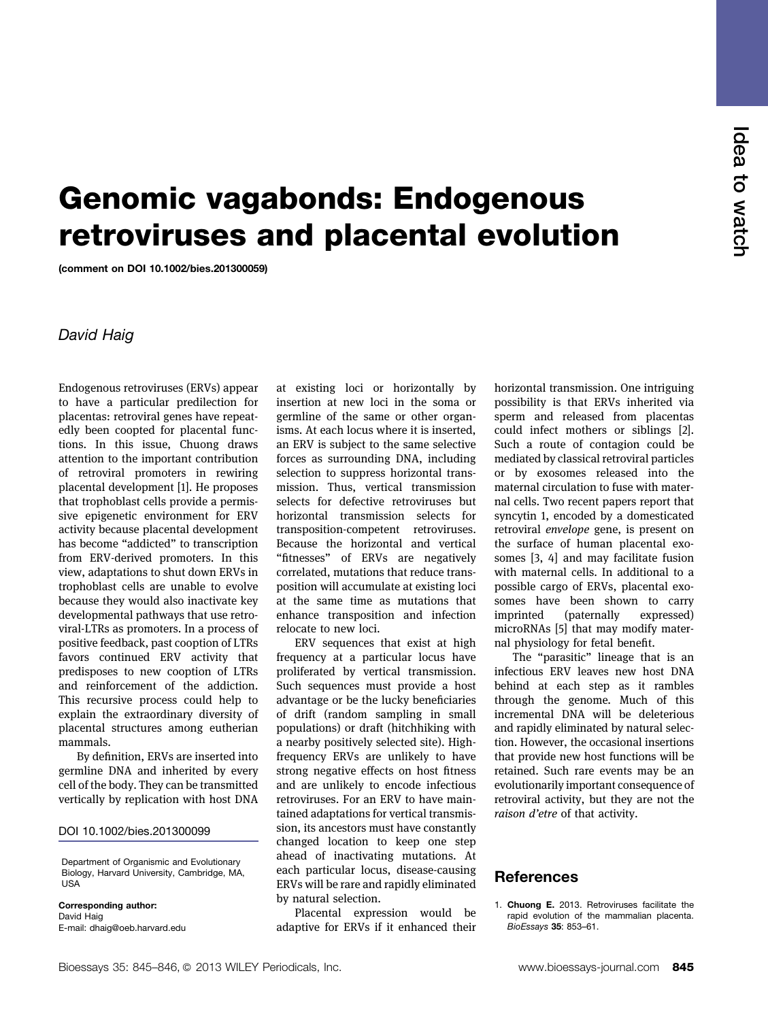## Genomic vagabonds: Endogenous retroviruses and placental evolution

(comment on DOI 10.1002/bies.201300059)

## David Haig

Endogenous retroviruses (ERVs) appear to have a particular predilection for placentas: retroviral genes have repeatedly been coopted for placental functions. In this issue, Chuong draws attention to the important contribution of retroviral promoters in rewiring placental development [1]. He proposes that trophoblast cells provide a permissive epigenetic environment for ERV activity because placental development has become "addicted" to transcription from ERV-derived promoters. In this view, adaptations to shut down ERVs in trophoblast cells are unable to evolve because they would also inactivate key developmental pathways that use retroviral-LTRs as promoters. In a process of positive feedback, past cooption of LTRs favors continued ERV activity that predisposes to new cooption of LTRs and reinforcement of the addiction. This recursive process could help to explain the extraordinary diversity of placental structures among eutherian mammals.

By definition, ERVs are inserted into germline DNA and inherited by every cell of the body. They can be transmitted vertically by replication with host DNA

## DOI 10.1002/bies.201300099

Corresponding author: David Haig E-mail: dhaig@oeb.harvard.edu

at existing loci or horizontally by insertion at new loci in the soma or germline of the same or other organisms. At each locus where it is inserted, an ERV is subject to the same selective forces as surrounding DNA, including selection to suppress horizontal transmission. Thus, vertical transmission selects for defective retroviruses but horizontal transmission selects for transposition-competent retroviruses. Because the horizontal and vertical "fitnesses" of ERVs are negatively correlated, mutations that reduce transposition will accumulate at existing loci at the same time as mutations that enhance transposition and infection relocate to new loci.

ERV sequences that exist at high frequency at a particular locus have proliferated by vertical transmission. Such sequences must provide a host advantage or be the lucky beneficiaries of drift (random sampling in small populations) or draft (hitchhiking with a nearby positively selected site). Highfrequency ERVs are unlikely to have strong negative effects on host fitness and are unlikely to encode infectious retroviruses. For an ERV to have maintained adaptations for vertical transmission, its ancestors must have constantly changed location to keep one step ahead of inactivating mutations. At each particular locus, disease-causing ERVs will be rare and rapidly eliminated by natural selection.

Placental expression would be adaptive for ERVs if it enhanced their horizontal transmission. One intriguing possibility is that ERVs inherited via sperm and released from placentas could infect mothers or siblings [2]. Such a route of contagion could be mediated by classical retroviral particles or by exosomes released into the maternal circulation to fuse with maternal cells. Two recent papers report that syncytin 1, encoded by a domesticated retroviral envelope gene, is present on the surface of human placental exosomes [3, 4] and may facilitate fusion with maternal cells. In additional to a possible cargo of ERVs, placental exosomes have been shown to carry imprinted (paternally expressed) microRNAs [5] that may modify maternal physiology for fetal benefit.

The "parasitic" lineage that is an infectious ERV leaves new host DNA behind at each step as it rambles through the genome. Much of this incremental DNA will be deleterious and rapidly eliminated by natural selection. However, the occasional insertions that provide new host functions will be retained. Such rare events may be an evolutionarily important consequence of retroviral activity, but they are not the raison d'etre of that activity.

## References

1. Chuong E. 2013. Retroviruses facilitate the rapid evolution of the mammalian placenta. BioEssays 35: 853–61.

Department of Organismic and Evolutionary Biology, Harvard University, Cambridge, MA, USA